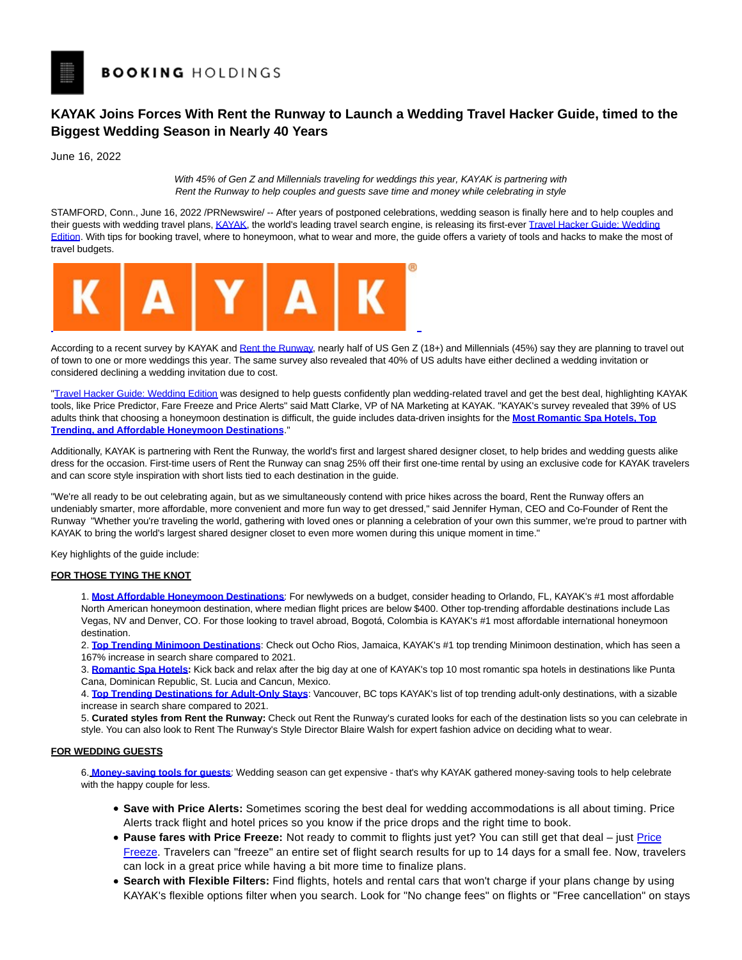# **KAYAK Joins Forces With Rent the Runway to Launch a Wedding Travel Hacker Guide, timed to the Biggest Wedding Season in Nearly 40 Years**

June 16, 2022

With 45% of Gen Z and Millennials traveling for weddings this year, KAYAK is partnering with Rent the Runway to help couples and guests save time and money while celebrating in style

STAMFORD, Conn., June 16, 2022 /PRNewswire/ -- After years of postponed celebrations, wedding season is finally here and to help couples and their guests with wedding travel plans[, KAYAK,](https://c212.net/c/link/?t=0&l=en&o=3568673-1&h=3435308191&u=https%3A%2F%2Fwww.kayak.com%2F&a=KAYAK) the world's leading travel search engine, is releasing its first-ever [Travel Hacker Guide: Wedding](https://c212.net/c/link/?t=0&l=en&o=3568673-1&h=1875501535&u=https%3A%2F%2Fwww.kayak.com%2Fc%2Fwedding-hacker%2F&a=Travel+Hacker+Guide%3A+Wedding+Edition) Edition. With tips for booking travel, where to honeymoon, what to wear and more, the guide offers a variety of tools and hacks to make the most of travel budgets.



According to a recent survey by KAYAK and [Rent the Runway,](https://c212.net/c/link/?t=0&l=en&o=3568673-1&h=1061184963&u=http%3A%2F%2Frenttherunway.com%2F&a=Rent+the+Runway) nearly half of US Gen Z (18+) and Millennials (45%) say they are planning to travel out of town to one or more weddings this year. The same survey also revealed that 40% of US adults have either declined a wedding invitation or considered declining a wedding invitation due to cost.

["Travel Hacker Guide: Wedding Edition w](https://c212.net/c/link/?t=0&l=en&o=3568673-1&h=1875501535&u=https%3A%2F%2Fwww.kayak.com%2Fc%2Fwedding-hacker%2F&a=Travel+Hacker+Guide%3A+Wedding+Edition)as designed to help guests confidently plan wedding-related travel and get the best deal, highlighting KAYAK tools, like Price Predictor, Fare Freeze and Price Alerts" said Matt Clarke, VP of NA Marketing at KAYAK. "KAYAK's survey revealed that 39% of US adults think that choosing a honeymoon destination is difficult, the guide includes data-driven insights for the **[Most](https://c212.net/c/link/?t=0&l=en&o=3568673-1&h=1570775873&u=https%3A%2F%2Fwww.kayak.com%2Fc%2Fwedding-hacker%2Fcouples%2Faffordable-honeymoons%2F&a=Most+) [Romantic Spa Hotels,](https://c212.net/c/link/?t=0&l=en&o=3568673-1&h=923187553&u=https%3A%2F%2Fwww.kayak.com%2Fc%2Fwedding-hacker%2Fcouples%2Fromantic-spa-hotels%2F&a=Romantic+Spa+Hotels%2C+) [Top](https://c212.net/c/link/?t=0&l=en&o=3568673-1&h=4003047767&u=https%3A%2F%2Fwww.kayak.com%2Fc%2Fwedding-hacker%2Fcouples%2Fminimoon%2F&a=Top+Trending) Trendin[g, and](https://c212.net/c/link/?t=0&l=en&o=3568673-1&h=2385027801&u=https%3A%2F%2Fwww.kayak.com%2Fc%2Fwedding-hacker%2Fcouples%2Fminimoon%2F&a=%2C+and+) [Affordable Honeymoon Destinations](https://c212.net/c/link/?t=0&l=en&o=3568673-1&h=2367049532&u=https%3A%2F%2Fwww.kayak.com%2Fc%2Fwedding-hacker%2Fcouples%2Faffordable-honeymoons%2F&a=Affordable+Honeymoon+Destinations)**."

Additionally, KAYAK is partnering with Rent the Runway, the world's first and largest shared designer closet, to help brides and wedding guests alike dress for the occasion. First-time users of Rent the Runway can snag 25% off their first one-time rental by using an exclusive code for KAYAK travelers and can score style inspiration with short lists tied to each destination in the guide.

"We're all ready to be out celebrating again, but as we simultaneously contend with price hikes across the board, Rent the Runway offers an undeniably smarter, more affordable, more convenient and more fun way to get dressed," said Jennifer Hyman, CEO and Co-Founder of Rent the Runway "Whether you're traveling the world, gathering with loved ones or planning a celebration of your own this summer, we're proud to partner with KAYAK to bring the world's largest shared designer closet to even more women during this unique moment in time."

Key highlights of the guide include:

# **FOR THOSE TYING THE KNOT**

1. **[Most Affordable Honeymoon Destinations](https://c212.net/c/link/?t=0&l=en&o=3568673-1&h=2758343326&u=https%3A%2F%2Fwww.kayak.com%2Fc%2Fwedding-hacker%2Fcouples%2Faffordable-honeymoons%2F&a=Most+Affordable+Honeymoon+Destinations)**: For newlyweds on a budget, consider heading to Orlando, FL, KAYAK's #1 most affordable North American honeymoon destination, where median flight prices are below \$400. Other top-trending affordable destinations include Las Vegas, NV and Denver, CO. For those looking to travel abroad, Bogotá, Colombia is KAYAK's #1 most affordable international honeymoon destination.

2. **[Top Trending Minimoon Destinations](https://c212.net/c/link/?t=0&l=en&o=3568673-1&h=2897381795&u=https%3A%2F%2Fwww.kayak.com%2Fc%2Fwedding-hacker%2Fcouples%2Fminimoon%2F&a=Top+Trending+Minimoon+Destinations)**: Check out Ocho Rios, Jamaica, KAYAK's #1 top trending Minimoon destination, which has seen a 167% increase in search share compared to 2021.

3. **[Romantic Spa Hotels:](https://c212.net/c/link/?t=0&l=en&o=3568673-1&h=2690157720&u=https%3A%2F%2Fwww.kayak.com%2Fc%2Fwedding-hacker%2Fcouples%2Fromantic-spa-hotels%2F&a=Romantic+Spa+Hotels)** Kick back and relax after the big day at one of KAYAK's top 10 most romantic spa hotels in destinations like Punta Cana, Dominican Republic, St. Lucia and Cancun, Mexico.

4. **[Top Trending Destinations for Adult-Only Stays](https://c212.net/c/link/?t=0&l=en&o=3568673-1&h=1262869786&u=https%3A%2F%2Fwww.kayak.com%2Fc%2Fwedding-hacker%2Fcouples%2Fadult-only%2F&a=Top+Trending+Destinations+for+Adult-Only+Stays)**: Vancouver, BC tops KAYAK's list of top trending adult-only destinations, with a sizable increase in search share compared to 2021.

5. **Curated styles from Rent the Runway:** Check out Rent the Runway's curated looks for each of the destination lists so you can celebrate in style. You can also look to Rent The Runway's Style Director Blaire Walsh for expert fashion advice on deciding what to wear.

# **FOR WEDDING GUESTS**

6. **[Money-saving tools for guests](https://c212.net/c/link/?t=0&l=en&o=3568673-1&h=564617680&u=https%3A%2F%2Fwww.kayak.com%2Fc%2Fwedding-hacker%2Fguests%2F&a=Money-saving+tools+for+guests)**: Wedding season can get expensive - that's why KAYAK gathered money-saving tools to help celebrate with the happy couple for less.

- **Save with Price Alerts:** Sometimes scoring the best deal for wedding accommodations is all about timing. Price Alerts track flight and hotel prices so you know if the price drops and the right time to book.
- Pause fares with [Price](https://c212.net/c/link/?t=0&l=en&o=3568673-1&h=955688202&u=https%3A%2F%2Fwww.kayak.com%2Fnews%2Fhow-kayak-price-alerts-get-you-the-best-deals%2F%23new-price-freeze&a=Price+Freeze) Freeze: Not ready to commit to flights just yet? You can still get that deal just Price Freeze. Travelers can "freeze" an entire set of flight search results for up to 14 days for a small fee. Now, travelers can lock in a great price while having a bit more time to finalize plans.
- **Search with Flexible Filters:** Find flights, hotels and rental cars that won't charge if your plans change by using KAYAK's flexible options filter when you search. Look for "No change fees" on flights or "Free cancellation" on stays